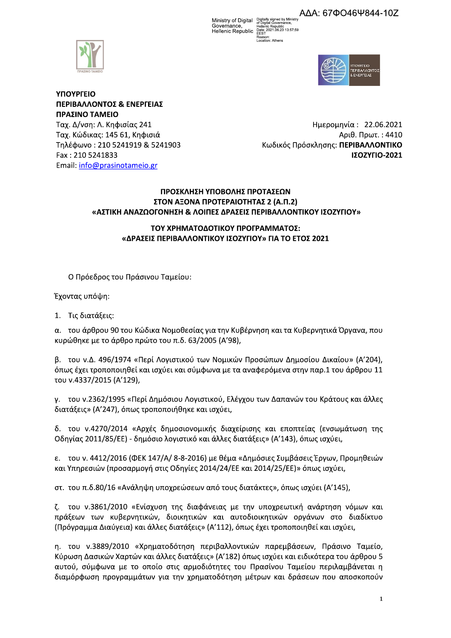ΑΔΑ: 67ΦΟ46Ψ844-107

Ministry of Digital Digitally signed by Ministry Governance, Governance, Hellenic Republic<br>Hellenic Republic Date: 2021.06.23 13:57:59



# ΥΠΟΥΡΓΕΙΟ ΠΕΡΙΒΑΛΛΟΝΤΟΣ & ΕΝΕΡΓΕΙΑΣ ΠΡΑΣΙΝΟ ΤΑΜΕΙΟ

Ταχ. Δ/νση: Λ. Κηφισίας 241 Ταχ. Κώδικας: 145 61, Κηφισιά Τηλέφωνο: 210 5241919 & 5241903 Fax: 210 5241833 Email: info@prasinotameio.gr

Ημερομηνία: 22.06.2021 Αριθ. Πρωτ.: 4410 Κωδικός Πρόσκλησης: ΠΕΡΙΒΑΛΛΟΝΤΙΚΟ ΙΣΟΖΥΓΙΟ-2021

## ΠΡΟΣΚΛΗΣΗ ΥΠΟΒΟΛΗΣ ΠΡΟΤΑΣΕΩΝ ΣΤΟΝ ΑΞΟΝΑ ΠΡΟΤΕΡΑΙΟΤΗΤΑΣ 2 (Α.Π.2) «ΑΣΤΙΚΗ ΑΝΑΖΩΟΓΟΝΗΣΗ & ΛΟΙΠΕΣ ΔΡΑΣΕΙΣ ΠΕΡΙΒΑΛΛΟΝΤΙΚΟΥ ΙΣΟΖΥΓΙΟΥ»

## ΤΟΥ ΧΡΗΜΑΤΟΔΟΤΙΚΟΥ ΠΡΟΓΡΑΜΜΑΤΟΣ: «ΔΡΑΣΕΙΣ ΠΕΡΙΒΑΛΛΟΝΤΙΚΟΥ ΙΣΟΖΥΓΙΟΥ» ΓΙΑ ΤΟ ΕΤΟΣ 2021

Ο Πρόεδρος του Πράσινου Ταμείου:

Έχοντας υπόψη:

1. Τις διατάξεις:

α. του άρθρου 90 του Κώδικα Νομοθεσίας για την Κυβέρνηση και τα Κυβερνητικά Όργανα, που κυρώθηκε με το άρθρο πρώτο του π.δ. 63/2005 (Α'98),

β. του ν.Δ. 496/1974 «Περί Λογιστικού των Νομικών Προσώπων Δημοσίου Δικαίου» (Α'204), όπως έχει τροποποιηθεί και ισχύει και σύμφωνα με τα αναφερόμενα στην παρ.1 του άρθρου 11 του ν.4337/2015 (Α'129),

γ. του ν.2362/1995 «Περί Δημόσιου Λογιστικού, Ελέγχου των Δαπανών του Κράτους και άλλες διατάξεις» (Α'247), όπως τροποποιήθηκε και ισχύει,

δ. του ν.4270/2014 «Αρχές δημοσιονομικής διαχείρισης και εποπτείας (ενσωμάτωση της Οδηγίας 2011/85/ΕΕ) - δημόσιο λογιστικό και άλλες διατάξεις» (Α'143), όπως ισχύει,

ε. του ν. 4412/2016 (ΦΕΚ 147/Α/ 8-8-2016) με θέμα «Δημόσιες Συμβάσεις Έργων, Προμηθειών και Υπηρεσιών (προσαρμογή στις Οδηγίες 2014/24/ΕΕ και 2014/25/ΕΕ)» όπως ισχύει,

στ. του π.δ.80/16 «Ανάληψη υποχρεώσεων από τους διατάκτες», όπως ισχύει (Α'145),

ζ. του ν.3861/2010 «Ενίσχυση της διαφάνειας με την υποχρεωτική ανάρτηση νόμων και πράξεων των κυβερνητικών, διοικητικών και αυτοδιοικητικών οργάνων στο διαδίκτυο (Πρόγραμμα Διαύγεια) και άλλες διατάξεις» (Α'112), όπως έχει τροποποιηθεί και ισχύει,

η, του ν.3889/2010 «Χρηματοδότηση περιβαλλοντικών παρεμβάσεων, Πράσινο Ταμείο, Κύρωση Δασικών Χαρτών και άλλες διατάξεις» (Α'182) όπως ισχύει και ειδικότερα του άρθρου 5 αυτού, σύμφωνα με το οποίο στις αρμοδιότητες του Πρασίνου Ταμείου περιλαμβάνεται η διαμόρφωση προγραμμάτων για την χρηματοδότηση μέτρων και δράσεων που αποσκοπούν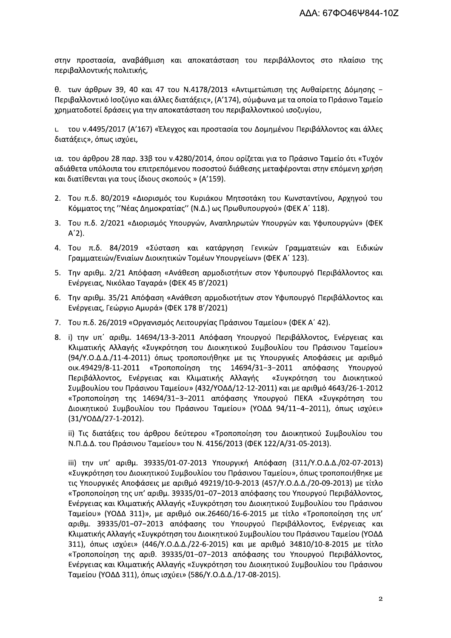στην προστασία, αναβάθμιση και αποκατάσταση του περιβάλλοντος στο πλαίσιο της περιβαλλοντικής πολιτικής,

θ. των άρθρων 39, 40 και 47 του N.4178/2013 «Αντιμετώπιση της Αυθαίρετης Δόμησης -Περιβαλλοντικό Ισοζύγιο και άλλες διατάξεις», (Α'174), σύμφωνα με τα οποία το Πράσινο Ταμείο χρηματοδοτεί δράσεις για την αποκατάσταση του περιβαλλοντικού ισοζυγίου,

ι. του ν.4495/2017 (Α'167) «Έλεγχος και προστασία του Δομημένου Περιβάλλοντος και άλλες διατάξεις», όπως ισχύει,

ια. του άρθρου 28 παρ. 33β του ν.4280/2014, όπου ορίζεται για το Πράσινο Ταμείο ότι «Τυχόν αδιάθετα υπόλοιπα του επιτρεπόμενου ποσοστού διάθεσης μεταφέρονται στην επόμενη χρήση και διατίθενται για τους ίδιους σκοπούς » (Α'159).

- 2. Του π.δ. 80/2019 «Διορισμός του Κυριάκου Μητσοτάκη του Κωνσταντίνου, Αρχηγού του Κόμματος της "Νέας Δημοκρατίας" (Ν.Δ.) ως Πρωθυπουργού» (ΦΕΚ Α' 118).
- 3. Του π.δ. 2/2021 «Διορισμός Υπουργών, Αναπληρωτών Υπουργών και Υφυπουργών» (ΦΕΚ  $A'2$ ).
- 4. Του π.δ. 84/2019 «Σύσταση και κατάργηση Γενικών Γραμματειών και Ειδικών Γραμματειών/Ενιαίων Διοικητικών Τομέων Υπουργείων» (ΦΕΚ Α' 123).
- 5. Την αριθμ. 2/21 Απόφαση «Ανάθεση αρμοδιοτήτων στον Υφυπουργό Περιβάλλοντος και Ενέργειας, Νικόλαο Ταγαρά» (ΦΕΚ 45 Β'/2021)
- 6. Την αριθμ. 35/21 Απόφαση «Ανάθεση αρμοδιοτήτων στον Υφυπουργό Περιβάλλοντος και Ενέργειας, Γεώργιο Αμυρά» (ΦΕΚ 178 Β'/2021)
- 7. Του π.δ. 26/2019 «Οργανισμός Λειτουργίας Πράσινου Ταμείου» (ΦΕΚ Α' 42).
- 8. i) την υπ' αριθμ. 14694/13-3-2011 Απόφαση Υπουργού Περιβάλλοντος, Ενέργειας και Κλιματικής Αλλαγής «Συγκρότηση του Διοικητικού Συμβουλίου του Πράσινου Ταμείου» (94/Υ.Ο.Δ.Δ./11-4-2011) όπως τροποποιήθηκε με τις Υπουργικές Αποφάσεις με αριθμό olk.49429/8-11-2011 «Τροποποίηση της 14694/31-3-2011 απόφασης Υπουργού Περιβάλλοντος, Ενέργειας και Κλιματικής Αλλαγής «Συγκρότηση του Διοικητικού Συμβουλίου του Πράσινου Ταμείου» (432/ΥΟΔΔ/12-12-2011) και με αριθμό 4643/26-1-2012 «Τροποποίηση της 14694/31-3-2011 απόφασης Υπουργού ΠΕΚΑ «Συγκρότηση του Διοικητικού Συμβουλίου του Πράσινου Ταμείου» (ΥΟΔΔ 94/11-4-2011), όπως ισχύει» (31/ΥΟΔΔ/27-1-2012).

ii) Τις διατάξεις του άρθρου δεύτερου «Τροποποίηση του Διοικητικού Συμβουλίου του Ν.Π.Δ.Δ. του Πράσινου Ταμείου» του Ν. 4156/2013 (ΦΕΚ 122/Α/31-05-2013).

iii) την υπ' αριθμ. 39335/01-07-2013 Υπουργική Απόφαση (311/Υ.Ο.Δ.Δ./02-07-2013) «Συγκρότηση του Διοικητικού Συμβουλίου του Πράσινου Ταμείου», όπως τροποποιήθηκε με τις Υπουργικές Αποφάσεις με αριθμό 49219/10-9-2013 (457/Υ.Ο.Δ.Δ./20-09-2013) με τίτλο «Τροποποίηση της υπ' αριθμ. 39335/01-07-2013 απόφασης του Υπουργού Περιβάλλοντος, Ενέργειας και Κλιματικής Αλλαγής «Συγκρότηση του Διοικητικού Συμβουλίου του Πράσινου Ταμείου» (ΥΟΔΔ 311)», με αριθμό οικ.26460/16-6-2015 με τίτλο «Τροποποίηση της υπ' αριθμ. 39335/01-07-2013 απόφασης του Υπουργού Περιβάλλοντος, Ενέργειας και Κλιματικής Αλλαγής «Συγκρότηση του Διοικητικού Συμβουλίου του Πράσινου Ταμείου (ΥΟΔΔ 311), όπως ισχύει» (446/Υ.Ο.Δ.Δ./22-6-2015) και με αριθμό 34810/10-8-2015 με τίτλο «Τροποποίηση της αριθ. 39335/01-07-2013 απόφασης του Υπουργού Περιβάλλοντος, Ενέργειας και Κλιματικής Αλλαγής «Συγκρότηση του Διοικητικού Συμβουλίου του Πράσινου Ταμείου (ΥΟΔΔ 311), όπως ισχύει» (586/Υ.Ο.Δ.Δ./17-08-2015).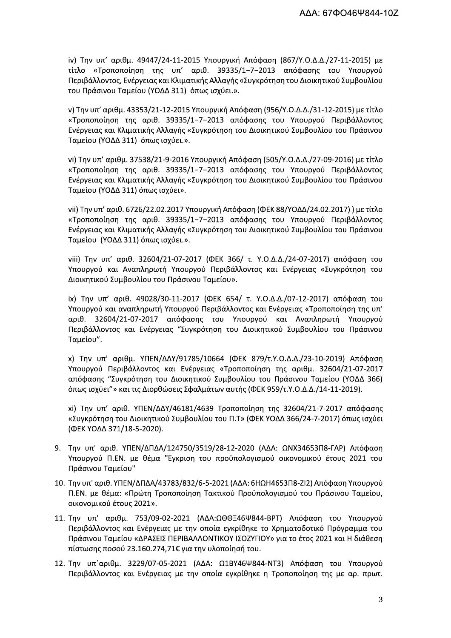iv) Την υπ' αριθμ. 49447/24-11-2015 Υπουργική Απόφαση (867/Υ.Ο.Δ.Δ./27-11-2015) με τίτλο «Τροποποίηση της υπ' αριθ. 39335/1-7-2013 απόφασης του Υπουργού Περιβάλλοντος, Ενέργειας και Κλιματικής Αλλαγής «Συγκρότηση του Διοικητικού Συμβουλίου του Πράσινου Ταμείου (ΥΟΔΔ 311) όπως ισχύει.».

ν) Την υπ' αριθμ. 43353/21-12-2015 Υπουργική Απόφαση (956/Υ.Ο.Δ.Δ./31-12-2015) με τίτλο «Τροποποίηση της αριθ. 39335/1-7-2013 απόφασης του Υπουργού Περιβάλλοντος Ενέργειας και Κλιματικής Αλλαγής «Συγκρότηση του Διοικητικού Συμβουλίου του Πράσινου Ταμείου (ΥΟΔΔ 311) όπως ισχύει.».

vi) Την υπ' αριθμ. 37538/21-9-2016 Υπουργική Απόφαση (505/Υ.Ο.Δ.Δ./27-09-2016) με τίτλο «Τροποποίηση της αριθ. 39335/1-7-2013 απόφασης του Υπουργού Περιβάλλοντος Ενέργειας και Κλιματικής Αλλαγής «Συγκρότηση του Διοικητικού Συμβουλίου του Πράσινου Ταμείου (ΥΟΔΔ 311) όπως ισχύει».

vii) Την υπ' αριθ. 6726/22.02.2017 Υπουργική Απόφαση (ΦΕΚ 88/ΥΟΔΔ/24.02.2017)) με τίτλο «Τροποποίηση της αριθ. 39335/1-7-2013 απόφασης του Υπουργού Περιβάλλοντος Ενέργειας και Κλιματικής Αλλαγής «Συγκρότηση του Διοικητικού Συμβουλίου του Πράσινου Ταμείου (ΥΟΔΔ 311) όπως ισχύει.».

viii) Την υπ' αριθ. 32604/21-07-2017 (ΦΕΚ 366/ τ. Υ.Ο.Δ.Δ./24-07-2017) απόφαση του Υπουργού και Αναπληρωτή Υπουργού Περιβάλλοντος και Ενέργειας «Συγκρότηση του Διοικητικού Συμβουλίου του Πράσινου Ταμείου».

ix) Την υπ' αριθ. 49028/30-11-2017 (ΦΕΚ 654/ τ. Υ.Ο.Δ.Δ./07-12-2017) απόφαση του Υπουργού και αναπληρωτή Υπουργού Περιβάλλοντος και Ενέργειας «Τροποποίηση της υπ' αριθ. 32604/21-07-2017 απόφασης του Υπουργού και Αναπληρωτή Υπουργού Περιβάλλοντος και Ενέργειας "Συγκρότηση του Διοικητικού Συμβουλίου του Πράσινου Ταμείου".

x) Την υπ' αριθμ. ΥΠΕΝ/ΔΔΥ/91785/10664 (ΦΕΚ 879/τ.Υ.Ο.Δ.Δ./23-10-2019) Απόφαση Υπουργού Περιβάλλοντος και Ενέργειας «Τροποποίηση της αριθμ. 32604/21-07-2017 απόφασης "Συγκρότηση του Διοικητικού Συμβουλίου του Πράσινου Ταμείου (ΥΟΔΔ 366) όπως ισχύει"» και τις Διορθώσεις Σφαλμάτων αυτής (ΦΕΚ 959/τ.Υ.Ο.Δ.Δ./14-11-2019).

xi) Την υπ' αριθ. ΥΠΕΝ/ΔΔΥ/46181/4639 Τροποποίηση της 32604/21-7-2017 απόφασης «Συγκρότηση του Διοικητικού Συμβουλίου του Π.Τ» (ΦΕΚ ΥΟΔΔ 366/24-7-2017) όπως ισχύει (ΦΕΚ ΥΟΔΔ 371/18-5-2020).

- 9. Την υπ' αριθ. ΥΠΕΝ/ΔΠΔΑ/124750/3519/28-12-2020 (ΑΔΑ: ΩΝΧ34653Π8-ΓΑΡ) Απόφαση Υπουργού Π.ΕΝ. με θέμα "Έγκριση του προϋπολογισμού οικονομικού έτους 2021 του Πράσινου Ταμείου"
- 10. Την υπ' αριθ. ΥΠΕΝ/ΔΠΔΑ/43783/832/6-5-2021 (ΑΔΑ: 6ΗΩΗ4653Π8-ΖΙ2) Απόφαση Υπουργού Π.ΕΝ. με θέμα: «Πρώτη Τροποποίηση Τακτικού Προϋπολογισμού του Πράσινου Ταμείου, οικονομικού έτους 2021».
- 11. Την υπ' αριθμ. 753/09-02-2021 (ΑΔΑ:ΩΘΘΞ46Ψ844-ΒΡΤ) Απόφαση του Υπουργού Περιβάλλοντος και Ενέργειας με την οποία εγκρίθηκε το Χρηματοδοτικό Πρόγραμμα του Πράσινου Ταμείου «ΔΡΑΣΕΙΣ ΠΕΡΙΒΑΛΛΟΝΤΙΚΟΥ ΙΣΟΖΥΓΙΟΥ» για το έτος 2021 και Η διάθεση πίστωσης ποσού 23.160.274,71€ για την υλοποίησή του.
- 12. Την υπ' αριθμ. 3229/07-05-2021 (ΑΔΑ: Ω1ΒΥ46Ψ844-ΝΤ3) Απόφαση του Υπουργού Περιβάλλοντος και Ενέργειας με την οποία εγκρίθηκε η Τροποποίηση της με αρ. πρωτ.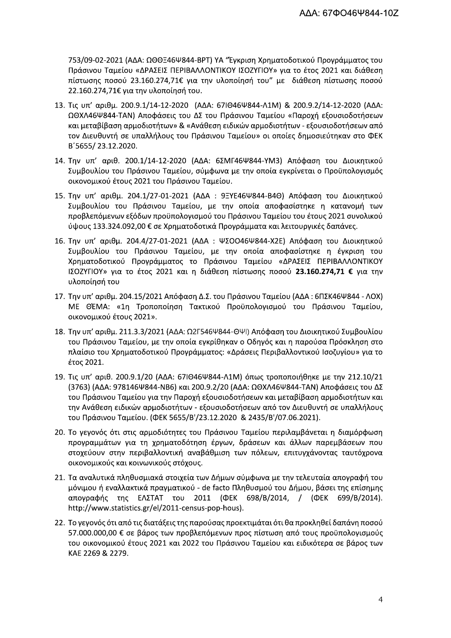753/09-02-2021 (ΑΔΑ: ΩΘΘΞ46Ψ844-ΒΡΤ) ΥΑ "Έγκριση Χρηματοδοτικού Προγράμματος του Πράσινου Ταμείου «ΔΡΑΣΕΙΣ ΠΕΡΙΒΑΛΛΟΝΤΙΚΟΥ ΙΣΟΖΥΓΙΟΥ» για το έτος 2021 και διάθεση πίστωσης ποσού 23.160.274,71€ για την υλοποίησή του" με διάθεση πίστωσης ποσού 22.160.274,71€ για την υλοποίησή του.

- 13. Τις υπ' αριθμ. 200.9.1/14-12-2020 (ΑΔΑ: 67ΙΘ46Ψ844-Λ1Μ) & 200.9.2/14-12-2020 (ΑΔΑ: ΩΘΧΛ46Ψ844-ΤΑΝ) Αποφάσεις του ΔΣ του Πράσινου Ταμείου «Παροχή εξουσιοδοτήσεων και μεταβίβαση αρμοδιοτήτων» & «Ανάθεση ειδικών αρμοδιοτήτων - εξουσιοδοτήσεων από τον Διευθυντή σε υπαλλήλους του Πράσινου Ταμείου» οι οποίες δημοσιεύτηκαν στο ΦΕΚ B'5655/23.12.2020.
- 14. Την υπ' αριθ. 200.1/14-12-2020 (ΑΔΑ: 6ΣΜΓ46Ψ844-ΥΜ3) Απόφαση του Διοικητικού Συμβουλίου του Πράσινου Ταμείου, σύμφωνα με την οποία εγκρίνεται ο Προϋπολογισμός οικονομικού έτους 2021 του Πράσινου Ταμείου.
- 15. Την υπ' αριθμ. 204.1/27-01-2021 (ΑΔΑ: 9ΞΥΕ46Ψ844-Β4Θ) Απόφαση του Διοικητικού Συμβουλίου του Πράσινου Ταμείου, με την οποία αποφασίστηκε η κατανομή των προβλεπόμενων εξόδων προϋπολογισμού του Πράσινου Ταμείου του έτους 2021 συνολικού ύψους 133.324.092,00 € σε Χρηματοδοτικά Προγράμματα και λειτουργικές δαπάνες.
- 16. Την υπ' αριθμ. 204.4/27-01-2021 (ΑΔΑ: ΨΣΟΟ46Ψ844-Χ2Ε) Απόφαση του Διοικητικού Συμβουλίου του Πράσινου Ταμείου, με την οποία αποφασίστηκε η έγκριση του Χρηματοδοτικού Προγράμματος το Πράσινου Ταμείου «ΔΡΑΣΕΙΣ ΠΕΡΙΒΑΛΛΟΝΤΙΚΟΥ ΙΣΟΖΥΓΙΟΥ» για το έτος 2021 και η διάθεση πίστωσης ποσού 23.160.274,71 € για την υλοποίησή του
- 17. Την υπ' αριθμ. 204.15/2021 Απόφαση Δ.Σ. του Πράσινου Ταμείου (ΑΔΑ: 6ΠΣΚ46Ψ844 ΛΟΧ) ΜΕ ΘΈΜΑ: «1η Τροποποίηση Τακτικού Προϋπολογισμού του Πράσινου Ταμείου, οικονομικού έτους 2021».
- 18. Την υπ' αριθμ. 211.3.3/2021 (ΑΔΑ: Ω2Γ546Ψ844-ΘΨΙ) Απόφαση του Διοικητικού Συμβουλίου του Πράσινου Ταμείου, με την οποία εγκρίθηκαν ο Οδηγός και η παρούσα Πρόσκληση στο πλαίσιο του Χρηματοδοτικού Προγράμματος: «Δράσεις Περιβαλλοντικού Ισοζυγίου» για το έτος 2021.
- 19. Τις υπ' αριθ. 200.9.1/20 (ΑΔΑ: 67ΙΘ46Ψ844-Λ1Μ) όπως τροποποιήθηκε με την 212.10/21 (3763) (ΑΔΑ: 978146Ψ844-ΝΒ6) και 200.9.2/20 (ΑΔΑ: ΩΘΧΛ46Ψ844-ΤΑΝ) Αποφάσεις του ΔΣ του Πράσινου Ταμείου για την Παροχή εξουσιοδοτήσεων και μεταβίβαση αρμοδιοτήτων και την Ανάθεση ειδικών αρμοδιοτήτων - εξουσιοδοτήσεων από τον Διευθυντή σε υπαλλήλους του Πράσινου Ταμείου. (ΦΕΚ 5655/Β'/23.12.2020 & 2435/Β'/07.06.2021).
- 20. Το γεγονός ότι στις αρμοδιότητες του Πράσινου Ταμείου περιλαμβάνεται η διαμόρφωση προγραμμάτων για τη χρηματοδότηση έργων, δράσεων και άλλων παρεμβάσεων που στοχεύουν στην περιβαλλοντική αναβάθμιση των πόλεων, επιτυγχάνοντας ταυτόχρονα οικονομικούς και κοινωνικούς στόχους.
- 21. Τα αναλυτικά πληθυσμιακά στοιχεία των Δήμων σύμφωνα με την τελευταία απογραφή του μόνιμου ή εναλλακτικά πραγματικού - de facto Πληθυσμού του Δήμου, βάσει της επίσημης απογραφής της ΕΛΣΤΑΤ του 2011 (ΦΕΚ 698/Β/2014, / (ΦΕΚ 699/Β/2014). http://www.statistics.gr/el/2011-census-pop-hous).
- 22. Το γεγονός ότι από τις διατάξεις της παρούσας προεκτιμάται ότι θα προκληθεί δαπάνη ποσού 57.000.000,00 € σε βάρος των προβλεπόμενων προς πίστωση από τους προϋπολογισμούς του οικονομικού έτους 2021 και 2022 του Πράσινου Ταμείου και ειδικότερα σε βάρος των KAE 2269 & 2279.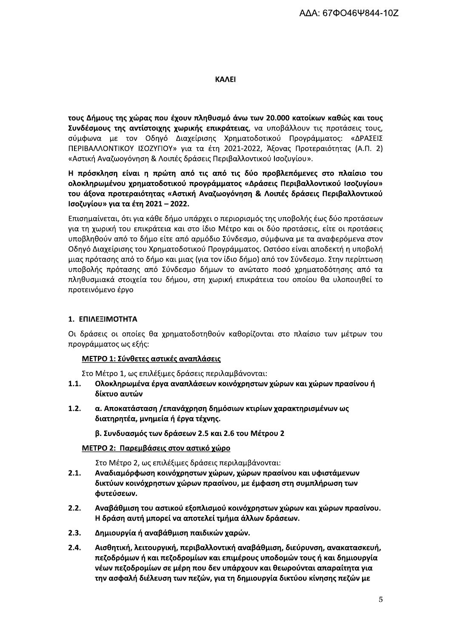### **KAAEI**

τους Δήμους της χώρας που έχουν πληθυσμό άνω των 20.000 κατοίκων καθώς και τους Συνδέσμους της αντίστοιχης χωρικής επικράτειας, να υποβάλλουν τις προτάσεις τους, σύμφωνα με τον Οδηγό Διαχείρισης Χρηματοδοτικού Προγράμματος: «ΔΡΑΣΕΙΣ ΠΕΡΙΒΑΛΛΟΝΤΙΚΟΥ ΙΣΟΖΥΓΙΟΥ» για τα έτη 2021-2022, Άξονας Προτεραιότητας (Α.Π. 2) «Αστική Αναζωογόνηση & Λοιπές δράσεις Περιβαλλοντικού Ισοζυγίου».

Η πρόσκληση είναι η πρώτη από τις από τις δύο προβλεπόμενες στο πλαίσιο του ολοκληρωμένου χρηματοδοτικού προγράμματος «Δράσεις Περιβαλλοντικού Ισοζυγίου» του άξονα προτεραιότητας «Αστική Αναζωογόνηση & Λοιπές δράσεις Περιβαλλοντικού Ισοζυγίου» για τα έτη 2021 - 2022.

Επισημαίνεται, ότι για κάθε δήμο υπάρχει ο περιορισμός της υποβολής έως δύο προτάσεων για τη χωρική του επικράτεια και στο ίδιο Μέτρο και οι δύο προτάσεις, είτε οι προτάσεις υποβληθούν από το δήμο είτε από αρμόδιο Σύνδεσμο, σύμφωνα με τα αναφερόμενα στον Οδηγό Διαχείρισης του Χρηματοδοτικού Προγράμματος. Ωστόσο είναι αποδεκτή η υποβολή μιας πρότασης από το δήμο και μιας (για τον ίδιο δήμο) από τον Σύνδεσμο. Στην περίπτωση υποβολής πρότασης από Σύνδεσμο δήμων το ανώτατο ποσό χρηματοδότησης από τα πληθυσμιακά στοιχεία του δήμου, στη χωρική επικράτεια του οποίου θα υλοποιηθεί το προτεινόμενο έργο

# 1. ΕΠΙΛΕΞΙΜΟΤΗΤΑ

Οι δράσεις οι οποίες θα χρηματοδοτηθούν καθορίζονται στο πλαίσιο των μέτρων του προγράμματος ως εξής:

# ΜΕΤΡΟ 1: Σύνθετες αστικές αναπλάσεις

Στο Μέτρο 1, ως επιλέξιμες δράσεις περιλαμβάνονται:

- Ολοκληρωμένα έργα αναπλάσεων κοινόχρηστων χώρων και χώρων πρασίνου ή  $1.1.$ δίκτυο αυτών
- $1.2.$ α. Αποκατάσταση /επανάχρηση δημόσιων κτιρίων χαρακτηρισμένων ως διατηρητέα, μνημεία ή έργα τέχνης.

β. Συνδυασμός των δράσεων 2.5 και 2.6 του Μέτρου 2

# ΜΕΤΡΟ 2: Παρεμβάσεις στον αστικό χώρο

Στο Μέτρο 2, ως επιλέξιμες δράσεις περιλαμβάνονται:

- $2.1.$ Αναδιαμόρφωση κοινόχρηστων χώρων, χώρων πρασίνου και υφιστάμενων δικτύων κοινόχρηστων χώρων πρασίνου, με έμφαση στη συμπλήρωση των φυτεύσεων.
- $2.2.$ Αναβάθμιση του αστικού εξοπλισμού κοινόχρηστων χώρων και χώρων πρασίνου. Η δράση αυτή μπορεί να αποτελεί τμήμα άλλων δράσεων.
- $2.3.$ Δημιουργία ή αναβάθμιση παιδικών χαρών.
- $2.4.$ Αισθητική, λειτουργική, περιβαλλοντική αναβάθμιση, διεύρυνση, ανακατασκευή, πεζοδρόμων ή και πεζοδρομίων και επιμέρους υποδομών τους ή και δημιουργία νέων πεζοδρομίων σε μέρη που δεν υπάρχουν και θεωρούνται απαραίτητα για την ασφαλή διέλευση των πεζών, για τη δημιουργία δικτύου κίνησης πεζών με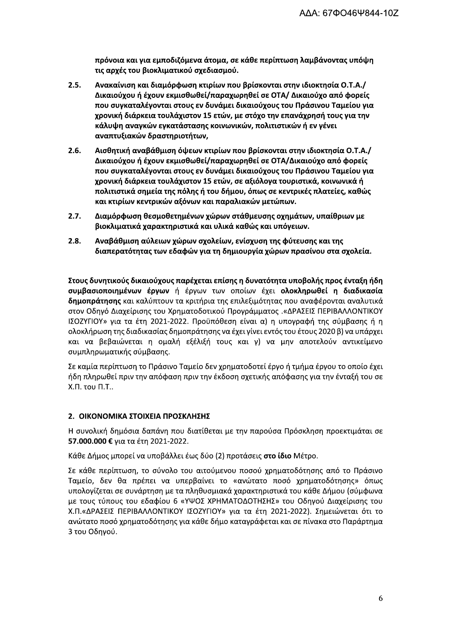πρόνοια και για εμποδιζόμενα άτομα, σε κάθε περίπτωση λαμβάνοντας υπόψη τις αρχές του βιοκλιματικού σχεδιασμού.

- $2.5.$ Ανακαίνιση και διαμόρφωση κτιρίων που βρίσκονται στην ιδιοκτησία Ο.Τ.Α./ Δικαιούχου ή έχουν εκμισθωθεί/παραχωρηθεί σε ΟΤΑ/ Δικαιούχο από φορείς που συγκαταλέγονται στους εν δυνάμει δικαιούχους του Πράσινου Ταμείου για χρονική διάρκεια τουλάχιστον 15 ετών, με στόχο την επανάχρησή τους για την κάλυψη αναγκών εγκατάστασης κοινωνικών, πολιτιστικών ή εν γένει αναπτυξιακών δραστηριοτήτων,
- $2.6.$ Αισθητική αναβάθμιση όψεων κτιρίων που βρίσκονται στην ιδιοκτησία Ο.Τ.Α./ Δικαιούχου ή έχουν εκμισθωθεί/παραχωρηθεί σε ΟΤΑ/Δικαιούχο από φορείς που συγκαταλέγονται στους εν δυνάμει δικαιούχους του Πράσινου Ταμείου για χρονική διάρκεια τουλάχιστον 15 ετών, σε αξιόλογα τουριστικά, κοινωνικά ή πολιτιστικά σημεία της πόλης ή του δήμου, όπως σε κεντρικές πλατείες, καθώς και κτιρίων κεντρικών αξόνων και παραλιακών μετώπων.
- $2.7.$ Διαμόρφωση θεσμοθετημένων χώρων στάθμευσης οχημάτων, υπαίθριων με βιοκλιματικά χαρακτηριστικά και υλικά καθώς και υπόγειων.
- $2.8.$ Αναβάθμιση αύλειων χώρων σχολείων, ενίσχυση της φύτευσης και της διαπερατότητας των εδαφών για τη δημιουργία χώρων πρασίνου στα σχολεία.

Στους δυνητικούς δικαιούχους παρέχεται επίσης η δυνατότητα υποβολής προς ένταξη ήδη συμβασιοποιημένων έργων ή έργων των οποίων έχει ολοκληρωθεί η διαδικασία δημοπράτησης και καλύπτουν τα κριτήρια της επιλεξιμότητας που αναφέρονται αναλυτικά στον Οδηγό Διαχείρισης του Χρηματοδοτικού Προγράμματος .«ΔΡΑΣΕΙΣ ΠΕΡΙΒΑΛΛΟΝΤΙΚΟΥ ΙΣΟΖΥΓΙΟΥ» για τα έτη 2021-2022. Προϋπόθεση είναι α) η υπογραφή της σύμβασης ή η ολοκλήρωση της διαδικασίας δημοπράτησης να έχει γίνει εντός του έτους 2020 β) να υπάρχει και να βεβαιώνεται η ομαλή εξέλιξή τους και γ) να μην αποτελούν αντικείμενο συμπληρωματικής σύμβασης.

Σε καμία περίπτωση το Πράσινο Ταμείο δεν χρηματοδοτεί έργο ή τμήμα έργου το οποίο έχει ήδη πληρωθεί πριν την απόφαση πριν την έκδοση σχετικής απόφασης για την ένταξή του σε Χ.Π. του Π.Τ..

#### 2. ΟΙΚΟΝΟΜΙΚΑ ΣΤΟΙΧΕΙΑ ΠΡΟΣΚΛΗΣΗΣ

Η συνολική δημόσια δαπάνη που διατίθεται με την παρούσα Πρόσκληση προεκτιμάται σε 57.000.000 € για τα έτη 2021-2022.

Κάθε Δήμος μπορεί να υποβάλλει έως δύο (2) προτάσεις στο ίδιο Μέτρο.

Σε κάθε περίπτωση, το σύνολο του αιτούμενου ποσού χρηματοδότησης από το Πράσινο Ταμείο, δεν θα πρέπει να υπερβαίνει το «ανώτατο ποσό χρηματοδότησης» όπως υπολογίζεται σε συνάρτηση με τα πληθυσμιακά χαρακτηριστικά του κάθε Δήμου (σύμφωνα με τους τύπους του εδαφίου 6 «ΥΨΟΣ ΧΡΗΜΑΤΟΔΟΤΗΣΗΣ» του Οδηγού Διαχείρισης του Χ.Π.«ΔΡΑΣΕΙΣ ΠΕΡΙΒΑΛΛΟΝΤΙΚΟΥ ΙΣΟΖΥΓΙΟΥ» για τα έτη 2021-2022). Σημειώνεται ότι το ανώτατο ποσό χρηματοδότησης για κάθε δήμο καταγράφεται και σε πίνακα στο Παράρτημα 3 του Οδηγού.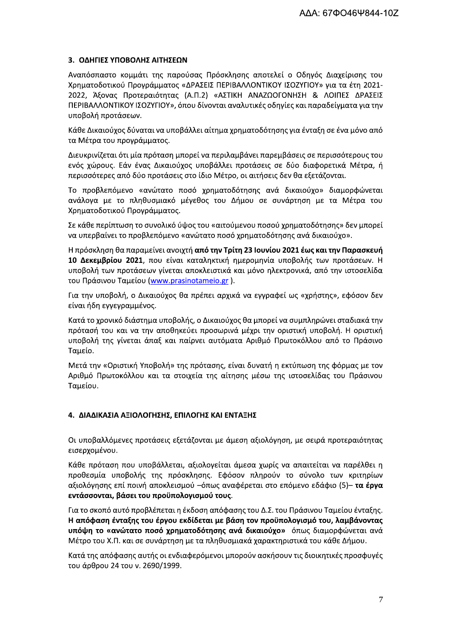### 3. ΟΔΗΓΙΕΣ ΥΠΟΒΟΛΗΣ ΑΙΤΗΣΕΩΝ

Αναπόσπαστο κομμάτι της παρούσας Πρόσκλησης αποτελεί ο Οδηγός Διαχείρισης του Χρηματοδοτικού Προγράμματος «ΔΡΑΣΕΙΣ ΠΕΡΙΒΑΛΛΟΝΤΙΚΟΥ ΙΣΟΖΥΓΙΟΥ» για τα έτη 2021-2022, Άξονας Προτεραιότητας (Α.Π.2) «ΑΣΤΙΚΗ ΑΝΑΖΩΟΓΟΝΗΣΗ & ΛΟΙΠΕΣ ΔΡΑΣΕΙΣ ΠΕΡΙΒΑΛΛΟΝΤΙΚΟΥ ΙΣΟΖΥΓΙΟΥ», όπου δίνονται αναλυτικές οδηγίες και παραδείγματα για την υποβολή προτάσεων.

Κάθε Δικαιούχος δύναται να υποβάλλει αίτημα χρηματοδότησης για ένταξη σε ένα μόνο από τα Μέτρα του προγράμματος.

Διευκρινίζεται ότι μία πρόταση μπορεί να περιλαμβάνει παρεμβάσεις σε περισσότερους του ενός χώρους. Εάν ένας Δικαιούχος υποβάλλει προτάσεις σε δύο διαφορετικά Μέτρα, ή περισσότερες από δύο προτάσεις στο ίδιο Μέτρο, οι αιτήσεις δεν θα εξετάζονται.

Το προβλεπόμενο «ανώτατο ποσό χρηματοδότησης ανά δικαιούχο» διαμορφώνεται ανάλογα με το πληθυσμιακό μέγεθος του Δήμου σε συνάρτηση με τα Μέτρα του Χρηματοδοτικού Προγράμματος.

Σε κάθε περίπτωση το συνολικό ύψος του «αιτούμενου ποσού χρηματοδότησης» δεν μπορεί να υπερβαίνει το προβλεπόμενο «ανώτατο ποσό χρηματοδότησης ανά δικαιούχο».

Η πρόσκληση θα παραμείνει ανοιχτή από την Τρίτη 23 Ιουνίου 2021 έως και την Παρασκευή 10 Δεκεμβρίου 2021, που είναι καταληκτική ημερομηνία υποβολής των προτάσεων. Η υποβολή των προτάσεων γίνεται αποκλειστικά και μόνο ηλεκτρονικά, από την ιστοσελίδα του Πράσινου Ταμείου (www.prasinotameio.gr).

Για την υποβολή, ο Δικαιούχος θα πρέπει αρχικά να εγγραφεί ως «χρήστης», εφόσον δεν είναι ήδη εγγεγραμμένος.

Κατά το χρονικό διάστημα υποβολής, ο Δικαιούχος θα μπορεί να συμπληρώνει σταδιακά την πρότασή του και να την αποθηκεύει προσωρινά μέχρι την οριστική υποβολή. Η οριστική υποβολή της γίνεται άπαξ και παίρνει αυτόματα Αριθμό Πρωτοκόλλου από το Πράσινο Ταμείο.

Μετά την «Οριστική Υποβολή» της πρότασης, είναι δυνατή η εκτύπωση της φόρμας με τον Αριθμό Πρωτοκόλλου και τα στοιχεία της αίτησης μέσω της ιστοσελίδας του Πράσινου Ταμείου.

#### 4. ΔΙΑΔΙΚΑΣΙΑ ΑΞΙΟΛΟΓΗΣΗΣ, ΕΠΙΛΟΓΗΣ ΚΑΙ ΕΝΤΑΞΗΣ

Οι υποβαλλόμενες προτάσεις εξετάζονται με άμεση αξιολόγηση, με σειρά προτεραιότητας εισερχομένου.

Κάθε πρόταση που υποβάλλεται, αξιολογείται άμεσα χωρίς να απαιτείται να παρέλθει η προθεσμία υποβολής της πρόσκλησης. Εφόσον πληρούν το σύνολο των κριτηρίων αξιολόγησης επί ποινή αποκλεισμού –όπως αναφέρεται στο επόμενο εδάφιο (5)– **τα έργα** εντάσσονται, βάσει του προϋπολογισμού τους.

Για το σκοπό αυτό προβλέπεται η έκδοση απόφασης του Δ.Σ. του Πράσινου Ταμείου ένταξης. Η απόφαση ένταξης του έργου εκδίδεται με βάση τον προϋπολογισμό του, λαμβάνοντας υπόψη το «ανώτατο ποσό χρηματοδότησης ανά δικαιούχο» όπως διαμορφώνεται ανά Μέτρο του Χ.Π. και σε συνάρτηση με τα πληθυσμιακά χαρακτηριστικά του κάθε Δήμου.

Κατά της απόφασης αυτής οι ενδιαφερόμενοι μπορούν ασκήσουν τις διοικητικές προσφυγές του άρθρου 24 του ν. 2690/1999.